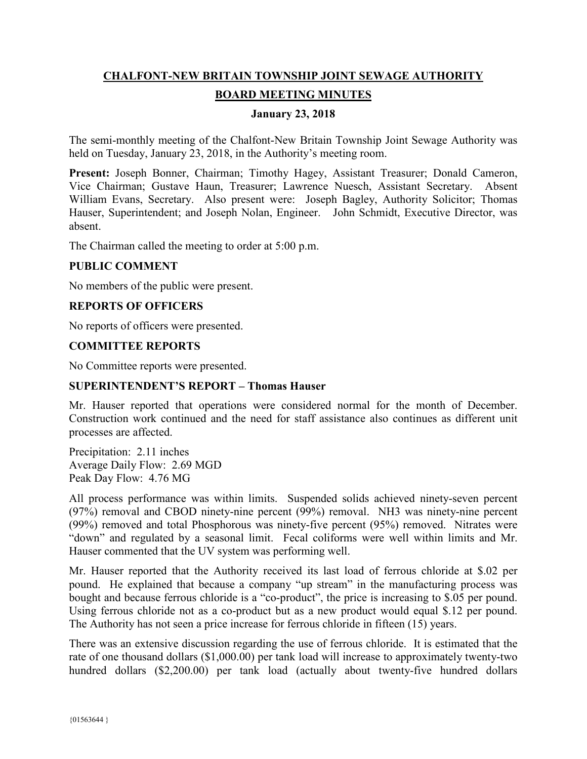# **CHALFONT-NEW BRITAIN TOWNSHIP JOINT SEWAGE AUTHORITY BOARD MEETING MINUTES**

## **January 23, 2018**

The semi-monthly meeting of the Chalfont-New Britain Township Joint Sewage Authority was held on Tuesday, January 23, 2018, in the Authority's meeting room.

**Present:** Joseph Bonner, Chairman; Timothy Hagey, Assistant Treasurer; Donald Cameron, Vice Chairman; Gustave Haun, Treasurer; Lawrence Nuesch, Assistant Secretary. Absent William Evans, Secretary. Also present were: Joseph Bagley, Authority Solicitor; Thomas Hauser, Superintendent; and Joseph Nolan, Engineer. John Schmidt, Executive Director, was absent.

The Chairman called the meeting to order at 5:00 p.m.

#### **PUBLIC COMMENT**

No members of the public were present.

#### **REPORTS OF OFFICERS**

No reports of officers were presented.

#### **COMMITTEE REPORTS**

No Committee reports were presented.

#### **SUPERINTENDENT'S REPORT – Thomas Hauser**

Mr. Hauser reported that operations were considered normal for the month of December. Construction work continued and the need for staff assistance also continues as different unit processes are affected.

Precipitation: 2.11 inches Average Daily Flow: 2.69 MGD Peak Day Flow: 4.76 MG

All process performance was within limits. Suspended solids achieved ninety-seven percent (97%) removal and CBOD ninety-nine percent (99%) removal. NH3 was ninety-nine percent (99%) removed and total Phosphorous was ninety-five percent (95%) removed. Nitrates were "down" and regulated by a seasonal limit. Fecal coliforms were well within limits and Mr. Hauser commented that the UV system was performing well.

Mr. Hauser reported that the Authority received its last load of ferrous chloride at \$.02 per pound. He explained that because a company "up stream" in the manufacturing process was bought and because ferrous chloride is a "co-product", the price is increasing to \$.05 per pound. Using ferrous chloride not as a co-product but as a new product would equal \$.12 per pound. The Authority has not seen a price increase for ferrous chloride in fifteen (15) years.

There was an extensive discussion regarding the use of ferrous chloride. It is estimated that the rate of one thousand dollars (\$1,000.00) per tank load will increase to approximately twenty-two hundred dollars (\$2,200.00) per tank load (actually about twenty-five hundred dollars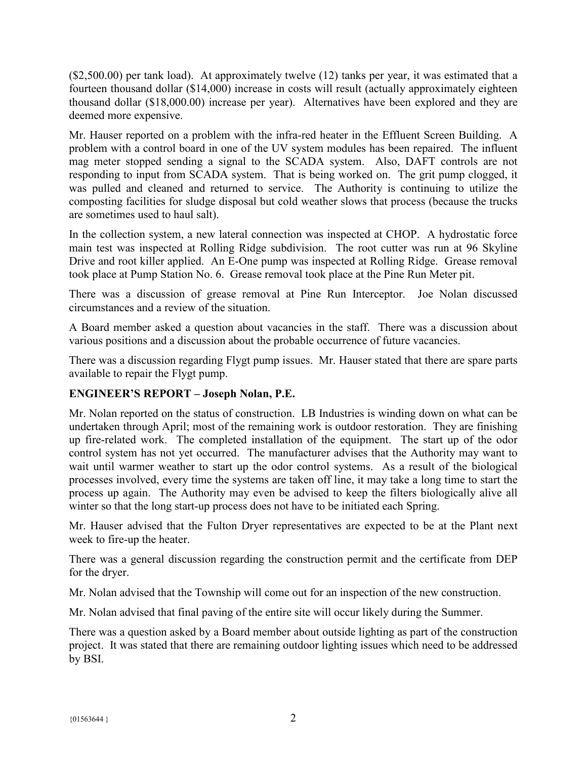(\$2,500.00) per tank load). At approximately twelve (12) tanks per year, it was estimated that a fourteen thousand dollar (\$14,000) increase in costs will result (actually approximately eighteen thousand dollar (\$18,000.00) increase per year). Alternatives have been explored and they are deemed more expensive.

Mr. Hauser reported on a problem with the infra-red heater in the Effluent Screen Building. A problem with a control board in one of the UV system modules has been repaired. The influent mag meter stopped sending a signal to the SCADA system. Also, DAFT controls are not responding to input from SCADA system. That is being worked on. The grit pump clogged, it was pulled and cleaned and returned to service. The Authority is continuing to utilize the composting facilities for sludge disposal but cold weather slows that process (because the trucks are sometimes used to haul salt).

In the collection system, a new lateral connection was inspected at CHOP. A hydrostatic force main test was inspected at Rolling Ridge subdivision. The root cutter was run at 96 Skyline Drive and root killer applied. An E-One pump was inspected at Rolling Ridge. Grease removal took place at Pump Station No. 6. Grease removal took place at the Pine Run Meter pit.

There was a discussion of grease removal at Pine Run Interceptor. Joe Nolan discussed circumstances and a review of the situation.

A Board member asked a question about vacancies in the staff. There was a discussion about various positions and a discussion about the probable occurrence of future vacancies.

There was a discussion regarding Flygt pump issues. Mr. Hauser stated that there are spare parts available to repair the Flygt pump.

# **ENGINEER'S REPORT – Joseph Nolan, P.E.**

Mr. Nolan reported on the status of construction. LB Industries is winding down on what can be undertaken through April; most of the remaining work is outdoor restoration. They are finishing up fire-related work. The completed installation of the equipment. The start up of the odor control system has not yet occurred. The manufacturer advises that the Authority may want to wait until warmer weather to start up the odor control systems. As a result of the biological processes involved, every time the systems are taken off line, it may take a long time to start the process up again. The Authority may even be advised to keep the filters biologically alive all winter so that the long start-up process does not have to be initiated each Spring.

Mr. Hauser advised that the Fulton Dryer representatives are expected to be at the Plant next week to fire-up the heater.

There was a general discussion regarding the construction permit and the certificate from DEP for the dryer.

Mr. Nolan advised that the Township will come out for an inspection of the new construction.

Mr. Nolan advised that final paving of the entire site will occur likely during the Summer.

There was a question asked by a Board member about outside lighting as part of the construction project. It was stated that there are remaining outdoor lighting issues which need to be addressed by BSI.